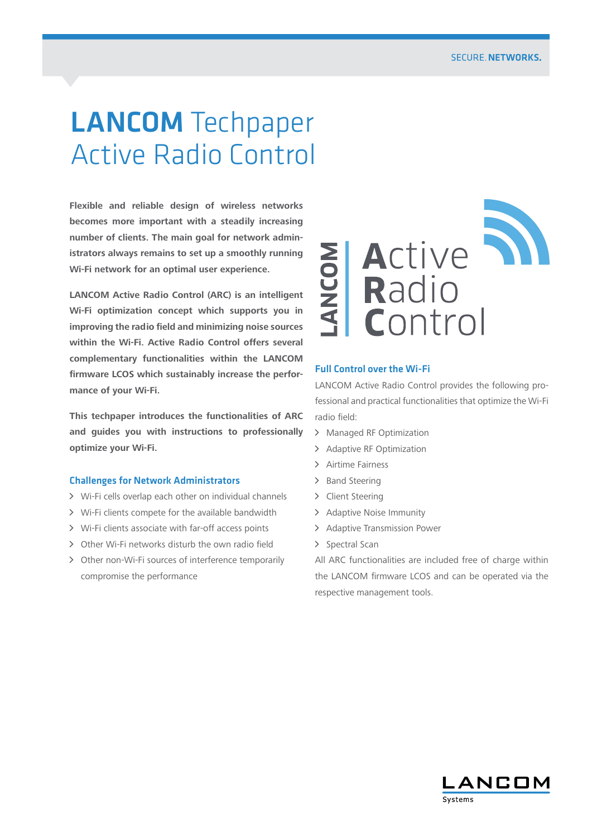# LANCOM Techpaper Active Radio Control

**Flexible and reliable design of wireless networks becomes more important with a steadily increasing number of clients. The main goal for network administrators always remains to set up a smoothly running Wi-Fi network for an optimal user experience.**

**LANCOM Active Radio Control (ARC) is an intelligent Wi-Fi optimization concept which supports you in improving the radio field and minimizing noise sources within the Wi-Fi. Active Radio Control offers several complementary functionalities within the LANCOM firmware LCOS which sustainably increase the performance of your Wi-Fi.**

**This techpaper introduces the functionalities of ARC and guides you with instructions to professionally optimize your Wi-Fi.**

# Challenges for Network Administrators

- $\triangleright$  Wi-Fi cells overlap each other on individual channels
- > Wi-Fi clients compete for the available bandwidth
- A Wi-Fi clients associate with far-off access points
- > Other Wi-Fi networks disturb the own radio field
- > Other non-Wi-Fi sources of interference temporarily compromise the performance



# Full Control over the Wi-Fi

LANCOM Active Radio Control provides the following professional and practical functionalities that optimize the Wi-Fi radio field:

- > Managed RF Optimization
- > Adaptive RF Optimization
- > Airtime Fairness
- > Band Steering
- > Client Steering
- > Adaptive Noise Immunity
- > Adaptive Transmission Power
- > Spectral Scan

All ARC functionalities are included free of charge within the LANCOM firmware LCOS and can be operated via the respective management tools.

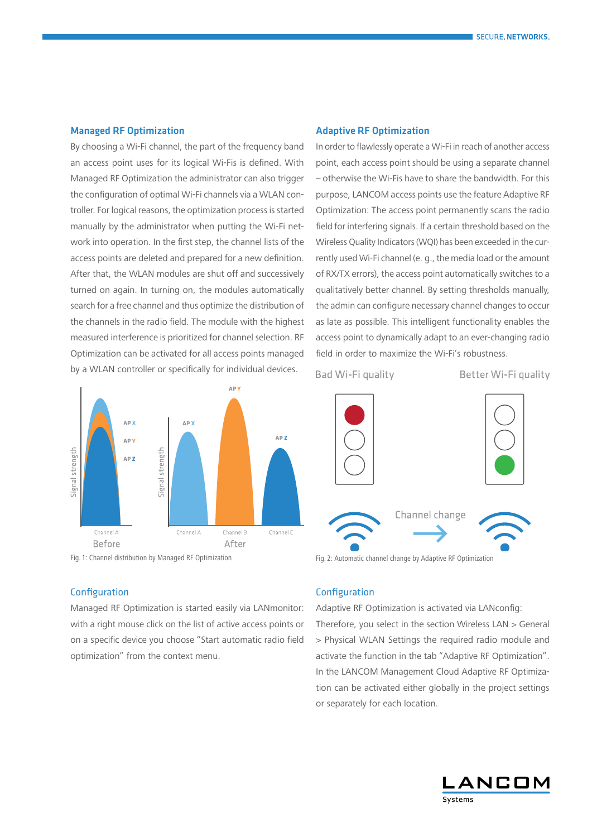#### Managed RF Optimization

By choosing a Wi-Fi channel, the part of the frequency band an access point uses for its logical Wi-Fis is defined. With Managed RF Optimization the administrator can also trigger the configuration of optimal Wi-Fi channels via a WLAN controller. For logical reasons, the optimization process is started manually by the administrator when putting the Wi-Fi network into operation. In the first step, the channel lists of the access points are deleted and prepared for a new definition. After that, the WLAN modules are shut off and successively turned on again. In turning on, the modules automatically search for a free channel and thus optimize the distribution of the channels in the radio field. The module with the highest measured interference is prioritized for channel selection. RF Optimization can be activated for all access points managed by a WLAN controller or specifically for individual devices.



# Configuration

Managed RF Optimization is started easily via LANmonitor: with a right mouse click on the list of active access points or on a specific device you choose "Start automatic radio field optimization" from the context menu.

#### Adaptive RF Optimization

In order to flawlessly operate a Wi-Fi in reach of another access point, each access point should be using a separate channel – otherwise the Wi-Fis have to share the bandwidth. For this purpose, LANCOM access points use the feature Adaptive RF Optimization: The access point permanently scans the radio field for interfering signals. If a certain threshold based on the Wireless Quality Indicators (WQI) has been exceeded in the currently used Wi-Fi channel (e. g., the media load or the amount of RX/TX errors), the access point automatically switches to a qualitatively better channel. By setting thresholds manually, the admin can configure necessary channel changes to occur as late as possible. This intelligent functionality enables the access point to dynamically adapt to an ever-changing radio field in order to maximize the Wi-Fi's robustness.

Bad Wi-Fi quality

Better Wi-Fi quality



Fig. 1: Channel distribution by Managed RF Optimization Fig. 2: Automatic channel change by Adaptive RF Optimization

# Configuration

Adaptive RF Optimization is activated via LANconfig: Therefore, you select in the section Wireless LAN > General > Physical WLAN Settings the required radio module and activate the function in the tab "Adaptive RF Optimization". In the LANCOM Management Cloud Adaptive RF Optimization can be activated either globally in the project settings or separately for each location.

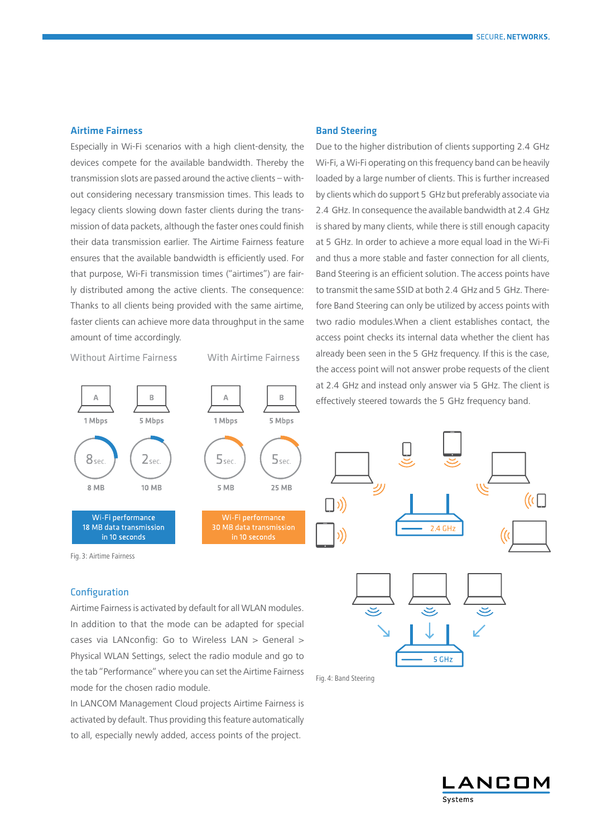# Airtime Fairness

Especially in Wi-Fi scenarios with a high client-density, the devices compete for the available bandwidth. Thereby the transmission slots are passed around the active clients – without considering necessary transmission times. This leads to legacy clients slowing down faster clients during the transmission of data packets, although the faster ones could finish their data transmission earlier. The Airtime Fairness feature ensures that the available bandwidth is efficiently used. For that purpose, Wi-Fi transmission times ("airtimes") are fairly distributed among the active clients. The consequence: Thanks to all clients being provided with the same airtime, faster clients can achieve more data throughput in the same amount of time accordingly.

**Without Airtime Fairness** 

**With Airtime Fairness** 



Fig. 3: Airtime Fairness

# Configuration

Airtime Fairness is activated by default for all WLAN modules. In addition to that the mode can be adapted for special cases via LANconfig: Go to Wireless LAN > General > Physical WLAN Settings, select the radio module and go to the tab "Performance" where you can set the Airtime Fairness mode for the chosen radio module.

In LANCOM Management Cloud projects Airtime Fairness is activated by default. Thus providing this feature automatically to all, especially newly added, access points of the project.

#### Band Steering

Due to the higher distribution of clients supporting 2.4 GHz Wi-Fi, a Wi-Fi operating on this frequency band can be heavily loaded by a large number of clients. This is further increased by clients which do support 5 GHz but preferably associate via 2.4 GHz. In consequence the available bandwidth at 2.4 GHz is shared by many clients, while there is still enough capacity at 5 GHz. In order to achieve a more equal load in the Wi-Fi and thus a more stable and faster connection for all clients, Band Steering is an efficient solution. The access points have to transmit the same SSID at both 2.4 GHz and 5 GHz. Therefore Band Steering can only be utilized by access points with two radio modules.When a client establishes contact, the access point checks its internal data whether the client has already been seen in the 5 GHz frequency. If this is the case, the access point will not answer probe requests of the client at 2.4 GHz and instead only answer via 5 GHz. The client is effectively steered towards the 5 GHz frequency band.





Fig. 4: Band Steering

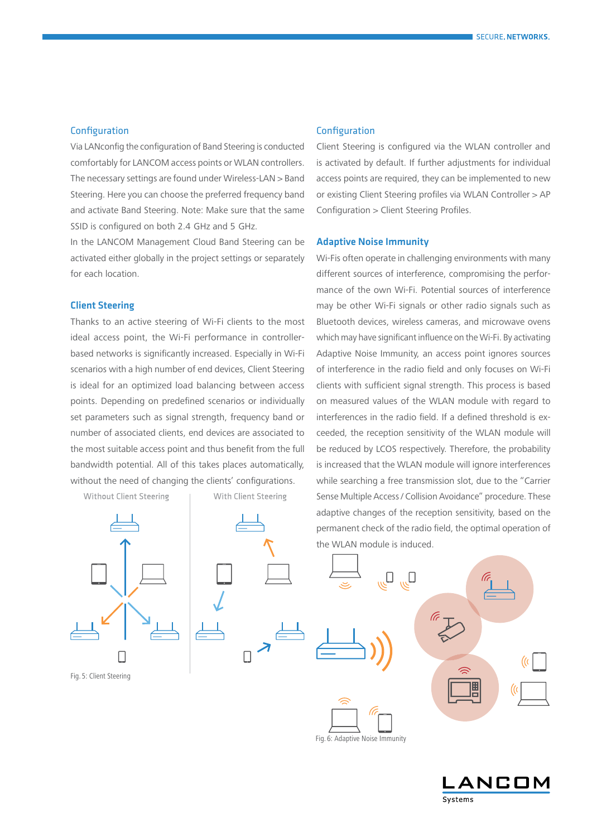## Configuration

Via LANconfig the configuration of Band Steering is conducted comfortably for LANCOM access points or WLAN controllers. The necessary settings are found under Wireless-LAN > Band Steering. Here you can choose the preferred frequency band and activate Band Steering. Note: Make sure that the same SSID is configured on both 2.4 GHz and 5 GHz.

In the LANCOM Management Cloud Band Steering can be activated either globally in the project settings or separately for each location.

# Client Steering

Thanks to an active steering of Wi-Fi clients to the most ideal access point, the Wi-Fi performance in controllerbased networks is significantly increased. Especially in Wi-Fi scenarios with a high number of end devices, Client Steering is ideal for an optimized load balancing between access points. Depending on predefined scenarios or individually set parameters such as signal strength, frequency band or number of associated clients, end devices are associated to the most suitable access point and thus benefit from the full bandwidth potential. All of this takes places automatically, without the need of changing the clients' configurations.



Fig. 5: Client Steering

#### Configuration

Client Steering is configured via the WLAN controller and is activated by default. If further adjustments for individual access points are required, they can be implemented to new or existing Client Steering profiles via WLAN Controller > AP Configuration > Client Steering Profiles.

#### Adaptive Noise Immunity

Wi-Fis often operate in challenging environments with many different sources of interference, compromising the performance of the own Wi-Fi. Potential sources of interference may be other Wi-Fi signals or other radio signals such as Bluetooth devices, wireless cameras, and microwave ovens which may have significant influence on the Wi-Fi. By activating Adaptive Noise Immunity, an access point ignores sources of interference in the radio field and only focuses on Wi-Fi clients with sufficient signal strength. This process is based on measured values of the WLAN module with regard to interferences in the radio field. If a defined threshold is exceeded, the reception sensitivity of the WLAN module will be reduced by LCOS respectively. Therefore, the probability is increased that the WLAN module will ignore interferences while searching a free transmission slot, due to the "Carrier Sense Multiple Access / Collision Avoidance" procedure. These adaptive changes of the reception sensitivity, based on the permanent check of the radio field, the optimal operation of the WLAN module is induced.



NCOM Systems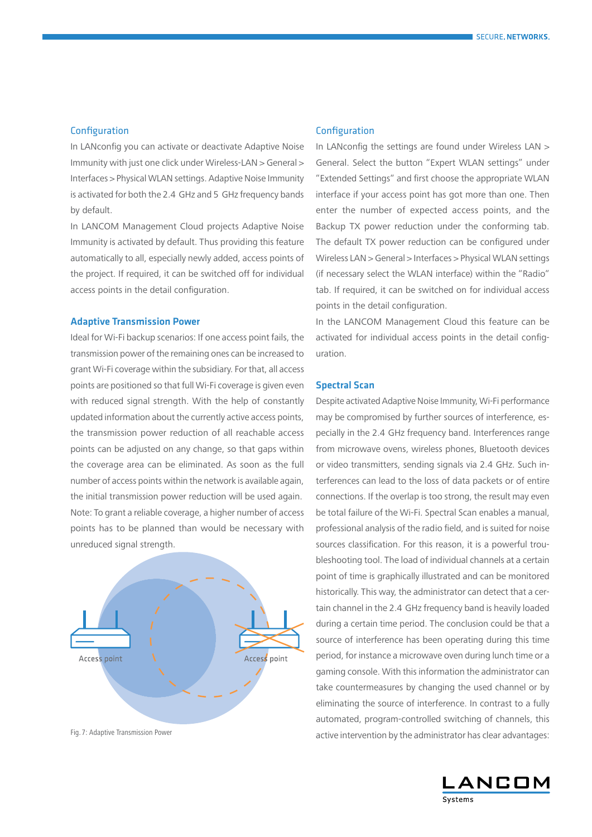## Configuration

In LANconfig you can activate or deactivate Adaptive Noise Immunity with just one click under Wireless-LAN > General > Interfaces > Physical WLAN settings. Adaptive Noise Immunity is activated for both the 2.4 GHz and 5 GHz frequency bands by default.

In LANCOM Management Cloud projects Adaptive Noise Immunity is activated by default. Thus providing this feature automatically to all, especially newly added, access points of the project. If required, it can be switched off for individual access points in the detail configuration.

## Adaptive Transmission Power

Ideal for Wi-Fi backup scenarios: If one access point fails, the transmission power of the remaining ones can be increased to grant Wi-Fi coverage within the subsidiary. For that, all access points are positioned so that full Wi-Fi coverage is given even with reduced signal strength. With the help of constantly updated information about the currently active access points, the transmission power reduction of all reachable access points can be adjusted on any change, so that gaps within the coverage area can be eliminated. As soon as the full number of access points within the network is available again, the initial transmission power reduction will be used again. Note: To grant a reliable coverage, a higher number of access points has to be planned than would be necessary with unreduced signal strength.



#### Configuration

In LANconfig the settings are found under Wireless LAN > General. Select the button "Expert WLAN settings" under "Extended Settings" and first choose the appropriate WLAN interface if your access point has got more than one. Then enter the number of expected access points, and the Backup TX power reduction under the conforming tab. The default TX power reduction can be configured under Wireless LAN > General > Interfaces > Physical WLAN settings (if necessary select the WLAN interface) within the "Radio" tab. If required, it can be switched on for individual access points in the detail configuration.

In the LANCOM Management Cloud this feature can be activated for individual access points in the detail configuration.

# Spectral Scan

Despite activated Adaptive Noise Immunity, Wi-Fi performance may be compromised by further sources of interference, especially in the 2.4 GHz frequency band. Interferences range from microwave ovens, wireless phones, Bluetooth devices or video transmitters, sending signals via 2.4 GHz. Such interferences can lead to the loss of data packets or of entire connections. If the overlap is too strong, the result may even be total failure of the Wi-Fi. Spectral Scan enables a manual, professional analysis of the radio field, and is suited for noise sources classification. For this reason, it is a powerful troubleshooting tool. The load of individual channels at a certain point of time is graphically illustrated and can be monitored historically. This way, the administrator can detect that a certain channel in the 2.4 GHz frequency band is heavily loaded during a certain time period. The conclusion could be that a source of interference has been operating during this time period, for instance a microwave oven during lunch time or a gaming console. With this information the administrator can take countermeasures by changing the used channel or by eliminating the source of interference. In contrast to a fully automated, program-controlled switching of channels, this Fig. 7: Adaptive Transmission Power examples: active intervention by the administrator has clear advantages: